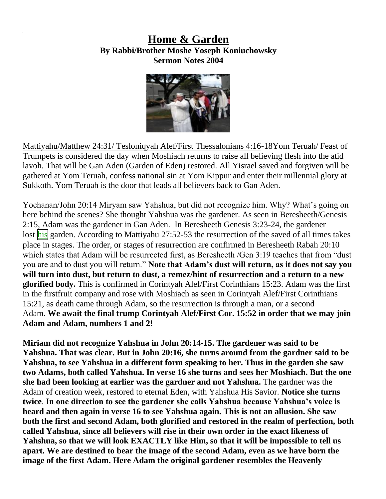## **Home & Garden By Rabbi/Brother Moshe Yoseph Koniuchowsky Sermon Notes 2004**



Mattiyahu/Matthew 24:31/ Tesloniqyah Alef/First Thessalonians 4:16-18Yom Teruah/ Feast of Trumpets is considered the day when Moshiach returns to raise all believing flesh into the atid lavoh. That will be Gan Aden (Garden of Eden) restored. All Yisrael saved and forgiven will be gathered at Yom Teruah, confess national sin at Yom Kippur and enter their millennial glory at Sukkoth. Yom Teruah is the door that leads all believers back to Gan Aden.

Yochanan/John 20:14 Miryam saw Yahshua, but did not recognize him. Why? What's going on here behind the scenes? She thought Yahshua was the gardener. As seen in Beresheeth/Genesis 2:15, Adam was the gardener in Gan Aden. In Beresheeth Genesis 3:23-24, the gardener lost his garden. According to Mattiyahu 27:52-53 the resurrection of the saved of all times takes place in stages. The order, or stages of resurrection are confirmed in Beresheeth Rabah 20:10 which states that Adam will be resurrected first, as Beresheeth /Gen 3:19 teaches that from "dust you are and to dust you will return." **Note that Adam's dust will return, as it does not say you will turn into dust, but return to dust, a remez/hint of resurrection and a return to a new glorified body.** This is confirmed in Corintyah Alef/First Corinthians 15:23. Adam was the first in the firstfruit company and rose with Moshiach as seen in Corintyah Alef/First Corinthians 15:21, as death came through Adam, so the resurrection is through a man, or a second Adam. **We await the final trump Corintyah Alef/First Cor. 15:52 in order that we may join Adam and Adam, numbers 1 and 2!**

**Miriam did not recognize Yahshua in John 20:14-15. The gardener was said to be Yahshua. That was clear. But in John 20:16, she turns around from the gardner said to be Yahshua, to see Yahshua in a different form speaking to her. Thus in the garden she saw two Adams, both called Yahshua. In verse 16 she turns and sees her Moshiach. But the one she had been looking at earlier was the gardner and not Yahshua.** The gardner was the Adam of creation week, restored to eternal Eden, with Yahshua His Savior. **Notice she turns twice**. **In one direction to see the gardener she calls Yahshua because Yahshua's voice is heard and then again in verse 16 to see Yahshua again. This is not an allusion. She saw both the first and second Adam, both glorified and restored in the realm of perfection, both called Yahshua, since all believers will rise in their own order in the exact likeness of Yahshua, so that we will look EXACTLY like Him, so that it will be impossible to tell us apart. We are destined to bear the image of the second Adam, even as we have born the image of the first Adam. Here Adam the original gardener resembles the Heavenly**